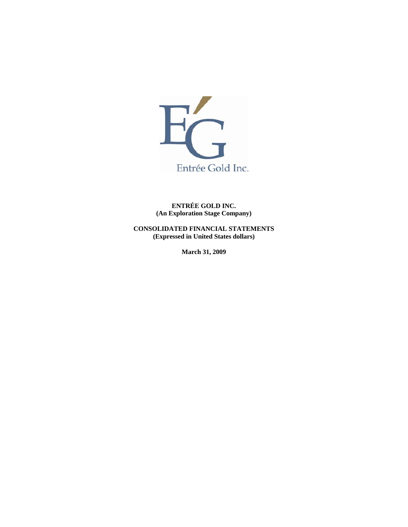

**ENTRÉE GOLD INC. (An Exploration Stage Company)** 

**CONSOLIDATED FINANCIAL STATEMENTS (Expressed in United States dollars)** 

**March 31, 2009**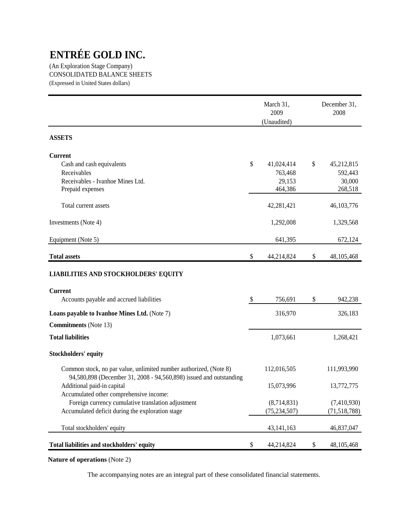(An Exploration Stage Company) CONSOLIDATED BALANCE SHEETS (Expressed in United States dollars)

|                                                                                                                                         | March 31,<br>2009<br>(Unaudited) | December 31,<br>2008 |
|-----------------------------------------------------------------------------------------------------------------------------------------|----------------------------------|----------------------|
| <b>ASSETS</b>                                                                                                                           |                                  |                      |
| <b>Current</b>                                                                                                                          |                                  |                      |
| Cash and cash equivalents                                                                                                               | \$<br>41,024,414                 | \$<br>45,212,815     |
| Receivables                                                                                                                             | 763,468                          | 592,443              |
| Receivables - Ivanhoe Mines Ltd.                                                                                                        | 29,153                           | 30,000               |
| Prepaid expenses                                                                                                                        | 464,386                          | 268,518              |
| Total current assets                                                                                                                    | 42,281,421                       | 46, 103, 776         |
| Investments (Note 4)                                                                                                                    | 1,292,008                        | 1,329,568            |
| Equipment (Note 5)                                                                                                                      | 641,395                          | 672,124              |
| <b>Total assets</b>                                                                                                                     | \$<br>44,214,824                 | \$<br>48, 105, 468   |
| <b>LIABILITIES AND STOCKHOLDERS' EQUITY</b>                                                                                             |                                  |                      |
| <b>Current</b>                                                                                                                          |                                  |                      |
| Accounts payable and accrued liabilities                                                                                                | \$<br>756,691                    | \$<br>942,238        |
| Loans payable to Ivanhoe Mines Ltd. (Note 7)                                                                                            | 316,970                          | 326,183              |
| <b>Commitments</b> (Note 13)                                                                                                            |                                  |                      |
| <b>Total liabilities</b>                                                                                                                | 1,073,661                        | 1,268,421            |
| <b>Stockholders' equity</b>                                                                                                             |                                  |                      |
| Common stock, no par value, unlimited number authorized, (Note 8)<br>94,580,898 (December 31, 2008 - 94,560,898) issued and outstanding | 112,016,505                      | 111,993,990          |
| Additional paid-in capital                                                                                                              | 15,073,996                       | 13,772,775           |
| Accumulated other comprehensive income:                                                                                                 |                                  |                      |
| Foreign currency cumulative translation adjustment                                                                                      | (8,714,831)                      | (7,410,930)          |
| Accumulated deficit during the exploration stage                                                                                        | (75, 234, 507)                   | (71, 518, 788)       |
| Total stockholders' equity                                                                                                              | 43, 141, 163                     | 46,837,047           |
| Total liabilities and stockholders' equity                                                                                              | \$<br>44,214,824                 | \$<br>48, 105, 468   |

**Nature of operations** (Note 2)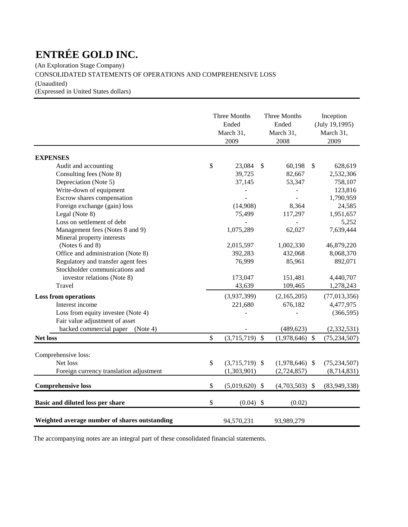(An Exploration Stage Company)

CONSOLIDATED STATEMENTS OF OPERATIONS AND COMPREHENSIVE LOSS

(Unaudited)

(Expressed in United States dollars)

|                                               | Three Months<br>Ended<br>March 31,<br>2009 |               | Three Months<br>Ended<br>March 31,<br>2008 | Inception<br>(July 19,1995)<br>March 31,<br>2009 |
|-----------------------------------------------|--------------------------------------------|---------------|--------------------------------------------|--------------------------------------------------|
| <b>EXPENSES</b>                               |                                            |               |                                            |                                                  |
| Audit and accounting                          | \$<br>23,084                               | $\mathcal{S}$ | 60,198                                     | \$<br>628,619                                    |
| Consulting fees (Note 8)                      | 39,725                                     |               | 82,667                                     | 2,532,306                                        |
| Depreciation (Note 5)                         | 37,145                                     |               | 53,347                                     | 758,107                                          |
| Write-down of equipment                       |                                            |               |                                            | 123,816                                          |
| Escrow shares compensation                    |                                            |               |                                            | 1,790,959                                        |
| Foreign exchange (gain) loss                  | (14,908)                                   |               | 8,364                                      | 24,585                                           |
| Legal (Note 8)                                | 75,499                                     |               | 117,297                                    | 1,951,657                                        |
| Loss on settlement of debt                    |                                            |               |                                            | 5,252                                            |
| Management fees (Notes 8 and 9)               | 1,075,289                                  |               | 62,027                                     | 7,639,444                                        |
| Mineral property interests                    |                                            |               |                                            |                                                  |
| (Notes 6 and 8)                               | 2,015,597                                  |               | 1,002,330                                  | 46,879,220                                       |
| Office and administration (Note 8)            | 392,283                                    |               | 432,068                                    | 8,068,370                                        |
| Regulatory and transfer agent fees            | 76,999                                     |               | 85,961                                     | 892,071                                          |
| Stockholder communications and                |                                            |               |                                            |                                                  |
| investor relations (Note 8)                   | 173,047                                    |               | 151,481                                    | 4,440,707                                        |
| Travel                                        | 43,639                                     |               | 109,465                                    | 1,278,243                                        |
| <b>Loss from operations</b>                   | (3,937,399)                                |               | (2,165,205)                                | (77, 013, 356)                                   |
| Interest income                               | 221,680                                    |               | 676,182                                    | 4,477,975                                        |
| Loss from equity investee (Note 4)            |                                            |               |                                            | (366, 595)                                       |
| Fair value adjustment of asset                |                                            |               |                                            |                                                  |
| backed commercial paper (Note 4)              |                                            |               | (489, 623)                                 | (2, 332, 531)                                    |
| <b>Net loss</b>                               | \$<br>$(3,715,719)$ \$                     |               | $(1,978,646)$ \$                           | (75, 234, 507)                                   |
|                                               |                                            |               |                                            |                                                  |
| Comprehensive loss:                           |                                            |               |                                            |                                                  |
| Net loss                                      | \$<br>$(3,715,719)$ \$                     |               | $(1,978,646)$ \$                           | (75, 234, 507)                                   |
| Foreign currency translation adjustment       | (1,303,901)                                |               | (2,724,857)                                | (8,714,831)                                      |
| <b>Comprehensive loss</b>                     | \$<br>$(5,019,620)$ \$                     |               | $(4,703,503)$ \$                           | (83,949,338)                                     |
| Basic and diluted loss per share              | \$<br>$(0.04)$ \$                          |               | (0.02)                                     |                                                  |
| Weighted average number of shares outstanding | 94,570,231                                 |               | 93,989,279                                 |                                                  |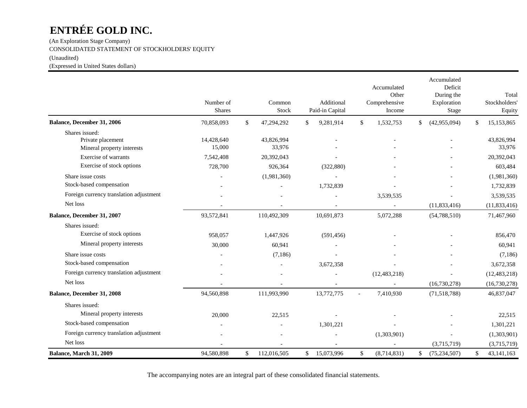(An Exploration Stage Company) CONSOLIDATED STATEMENT OF STOCKHOLDERS' EQUITY

(Unaudited)

(Expressed in United States dollars)

|                                                                   | Number of<br><b>Shares</b> | Common<br>Stock      | Additional<br>Paid-in Capital | Accumulated<br>Other<br>Comprehensive<br>Income | Accumulated<br>Deficit<br>During the<br>Exploration<br>Stage | Total<br>Stockholders'<br>Equity |
|-------------------------------------------------------------------|----------------------------|----------------------|-------------------------------|-------------------------------------------------|--------------------------------------------------------------|----------------------------------|
| Balance, December 31, 2006                                        | 70,858,093                 | \$<br>47,294,292     | \$<br>9,281,914               | \$<br>1,532,753                                 | \$<br>(42,955,094)                                           | \$<br>15,153,865                 |
| Shares issued:<br>Private placement<br>Mineral property interests | 14,428,640<br>15,000       | 43,826,994<br>33,976 |                               |                                                 |                                                              | 43,826,994<br>33,976             |
| Exercise of warrants                                              | 7,542,408                  | 20,392,043           |                               |                                                 |                                                              | 20,392,043                       |
| Exercise of stock options                                         | 728,700                    | 926,364              | (322, 880)                    |                                                 |                                                              | 603,484                          |
| Share issue costs                                                 |                            | (1,981,360)          |                               |                                                 |                                                              | (1,981,360)                      |
| Stock-based compensation                                          |                            |                      | 1,732,839                     |                                                 |                                                              | 1,732,839                        |
| Foreign currency translation adjustment                           |                            |                      |                               | 3,539,535                                       |                                                              | 3,539,535                        |
| Net loss                                                          |                            |                      |                               |                                                 | (11, 833, 416)                                               | (11, 833, 416)                   |
| Balance, December 31, 2007                                        | 93,572,841                 | 110,492,309          | 10,691,873                    | 5,072,288                                       | (54, 788, 510)                                               | 71,467,960                       |
| Shares issued:                                                    |                            |                      |                               |                                                 |                                                              |                                  |
| Exercise of stock options                                         | 958,057                    | 1,447,926            | (591, 456)                    |                                                 |                                                              | 856,470                          |
| Mineral property interests                                        | 30,000                     | 60,941               |                               |                                                 |                                                              | 60,941                           |
| Share issue costs                                                 |                            | (7,186)              |                               |                                                 |                                                              | (7,186)                          |
| Stock-based compensation                                          |                            |                      | 3,672,358                     |                                                 |                                                              | 3,672,358                        |
| Foreign currency translation adjustment                           |                            |                      |                               | (12, 483, 218)                                  |                                                              | (12, 483, 218)                   |
| Net loss                                                          |                            |                      |                               |                                                 | (16,730,278)                                                 | (16,730,278)                     |
| Balance, December 31, 2008                                        | 94,560,898                 | 111,993,990          | 13,772,775                    | 7,410,930                                       | (71,518,788)                                                 | 46,837,047                       |
| Shares issued:                                                    |                            |                      |                               |                                                 |                                                              |                                  |
| Mineral property interests                                        | 20,000                     | 22,515               |                               |                                                 |                                                              | 22,515                           |
| Stock-based compensation                                          |                            |                      | 1,301,221                     |                                                 |                                                              | 1,301,221                        |
| Foreign currency translation adjustment                           |                            |                      |                               | (1,303,901)                                     |                                                              | (1,303,901)                      |
| Net loss                                                          |                            |                      |                               |                                                 | (3,715,719)                                                  | (3,715,719)                      |
| Balance, March 31, 2009                                           | 94,580,898                 | \$<br>112,016,505    | \$<br>15,073,996              | \$<br>(8,714,831)                               | \$<br>(75, 234, 507)                                         | \$<br>43, 141, 163               |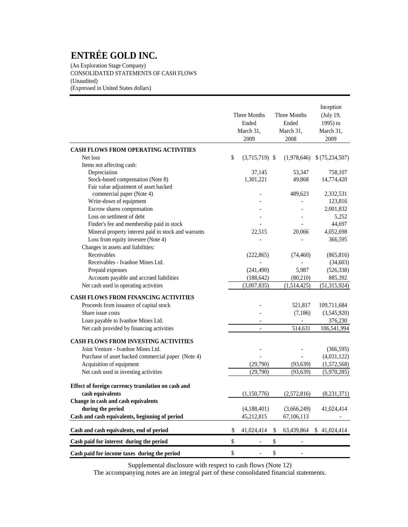(An Exploration Stage Company) CONSOLIDATED STATEMENTS OF CASH FLOWS (Unaudited) (Expressed in United States dollars)

|                                                      | Three Months<br>Ended<br>March 31,<br>2009 | Three Months<br>Ended<br>March 31,<br>2008 | Inception<br>(July 19,<br>1995) to<br>March 31,<br>2009 |
|------------------------------------------------------|--------------------------------------------|--------------------------------------------|---------------------------------------------------------|
| CASH FLOWS FROM OPERATING ACTIVITIES                 |                                            |                                            |                                                         |
| Net loss                                             | \$<br>$(3,715,719)$ \$                     | (1,978,646)                                | \$(75,234,507)                                          |
| Items not affecting cash:                            |                                            |                                            |                                                         |
| Depreciation                                         | 37,145                                     | 53,347                                     | 758,107                                                 |
| Stock-based compensation (Note 8)                    | 1,301,221                                  | 49,868                                     | 14,774,420                                              |
| Fair value adjustment of asset backed                |                                            |                                            |                                                         |
| commercial paper (Note 4)                            |                                            | 489,623                                    | 2,332,531                                               |
| Write-down of equipment                              |                                            |                                            | 123,816                                                 |
| Escrow shares compensation                           |                                            |                                            | 2,001,832                                               |
| Loss on settlment of debt                            |                                            |                                            | 5,252                                                   |
| Finder's fee and membership paid in stock            |                                            |                                            | 44,697                                                  |
| Mineral property interest paid in stock and warrants | 22,515                                     | 20,066                                     | 4,052,698                                               |
| Loss from equity investee (Note 4)                   |                                            |                                            | 366,595                                                 |
| Changes in assets and liabilities:                   |                                            |                                            |                                                         |
| Receivables                                          | (222, 865)                                 | (74, 460)                                  | (865, 816)                                              |
| Receivables - Ivanhoe Mines Ltd.                     |                                            |                                            | (34, 603)                                               |
| Prepaid expenses                                     | (241, 490)                                 | 5,987                                      | (526, 338)                                              |
| Accounts payable and accrued liabilities             | (188, 642)                                 | (80, 210)                                  | 885,392                                                 |
| Net cash used in operating activities                | (3,007,835)                                | (1,514,425)                                | (51, 315, 924)                                          |
| <b>CASH FLOWS FROM FINANCING ACTIVITIES</b>          |                                            |                                            |                                                         |
| Proceeds from issuance of capital stock              |                                            | 521,817                                    | 109,711,684                                             |
| Share issue costs                                    |                                            | (7,186)                                    | (3,545,920)                                             |
| Loan payable to Ivanhoe Mines Ltd.                   |                                            |                                            | 376,230                                                 |
| Net cash provided by financing activities            | $\overline{\phantom{a}}$                   | 514,631                                    | 106,541,994                                             |
| <b>CASH FLOWS FROM INVESTING ACTIVITIES</b>          |                                            |                                            |                                                         |
| Joint Venture - Ivanhoe Mines Ltd.                   |                                            |                                            | (366, 595)                                              |
| Purchase of asset backed commercial paper (Note 4)   |                                            |                                            | (4,031,122)                                             |
| Acquisition of equipment                             | (29,790)                                   | (93, 639)                                  | (1,572,568)                                             |
| Net cash used in investing activities                | (29,790)                                   | (93, 639)                                  | (5,970,285)                                             |
| Effect of foreign currency translation on cash and   |                                            |                                            |                                                         |
| cash equivalents                                     | (1,150,776)                                | (2,572,816)                                | (8,231,371)                                             |
| Change in cash and cash equivalents                  |                                            |                                            |                                                         |
| during the period                                    | (4,188,401)                                | (3,666,249)                                | 41,024,414                                              |
| Cash and cash equivalents, beginning of period       | 45,212,815                                 | 67,106,113                                 |                                                         |
| Cash and cash equivalents, end of period             | \$<br>41,024,414                           | \$<br>63,439,864                           | \$41,024,414                                            |
| Cash paid for interest during the period             | \$                                         | \$                                         |                                                         |
| Cash paid for income taxes during the period         | \$                                         | \$                                         |                                                         |

Supplemental disclosure with respect to cash flows (Note 12)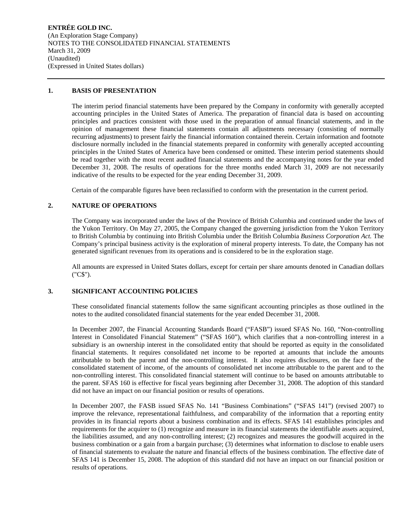**ENTRÉE GOLD INC.**  (An Exploration Stage Company) NOTES TO THE CONSOLIDATED FINANCIAL STATEMENTS March 31, 2009 (Unaudited) (Expressed in United States dollars)

## **1. BASIS OF PRESENTATION**

The interim period financial statements have been prepared by the Company in conformity with generally accepted accounting principles in the United States of America. The preparation of financial data is based on accounting principles and practices consistent with those used in the preparation of annual financial statements, and in the opinion of management these financial statements contain all adjustments necessary (consisting of normally recurring adjustments) to present fairly the financial information contained therein. Certain information and footnote disclosure normally included in the financial statements prepared in conformity with generally accepted accounting principles in the United States of America have been condensed or omitted. These interim period statements should be read together with the most recent audited financial statements and the accompanying notes for the year ended December 31, 2008. The results of operations for the three months ended March 31, 2009 are not necessarily indicative of the results to be expected for the year ending December 31, 2009.

Certain of the comparable figures have been reclassified to conform with the presentation in the current period.

## **2. NATURE OF OPERATIONS**

The Company was incorporated under the laws of the Province of British Columbia and continued under the laws of the Yukon Territory. On May 27, 2005, the Company changed the governing jurisdiction from the Yukon Territory to British Columbia by continuing into British Columbia under the British Columbia *Business Corporation Act.* The Company's principal business activity is the exploration of mineral property interests. To date, the Company has not generated significant revenues from its operations and is considered to be in the exploration stage.

All amounts are expressed in United States dollars, except for certain per share amounts denoted in Canadian dollars ("C\$").

## **3. SIGNIFICANT ACCOUNTING POLICIES**

These consolidated financial statements follow the same significant accounting principles as those outlined in the notes to the audited consolidated financial statements for the year ended December 31, 2008.

In December 2007, the Financial Accounting Standards Board ("FASB") issued SFAS No. 160, "Non-controlling Interest in Consolidated Financial Statement" ("SFAS 160"), which clarifies that a non-controlling interest in a subsidiary is an ownership interest in the consolidated entity that should be reported as equity in the consolidated financial statements. It requires consolidated net income to be reported at amounts that include the amounts attributable to both the parent and the non-controlling interest. It also requires disclosures, on the face of the consolidated statement of income, of the amounts of consolidated net income attributable to the parent and to the non-controlling interest. This consolidated financial statement will continue to be based on amounts attributable to the parent. SFAS 160 is effective for fiscal years beginning after December 31, 2008. The adoption of this standard did not have an impact on our financial position or results of operations.

In December 2007, the FASB issued SFAS No. 141 "Business Combinations" ("SFAS 141") (revised 2007) to improve the relevance, representational faithfulness, and comparability of the information that a reporting entity provides in its financial reports about a business combination and its effects. SFAS 141 establishes principles and requirements for the acquirer to (1) recognize and measure in its financial statements the identifiable assets acquired, the liabilities assumed, and any non-controlling interest; (2) recognizes and measures the goodwill acquired in the business combination or a gain from a bargain purchase; (3) determines what information to disclose to enable users of financial statements to evaluate the nature and financial effects of the business combination. The effective date of SFAS 141 is December 15, 2008. The adoption of this standard did not have an impact on our financial position or results of operations.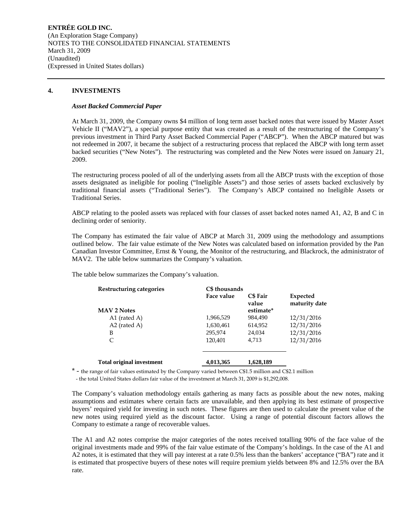**ENTRÉE GOLD INC.**  (An Exploration Stage Company) NOTES TO THE CONSOLIDATED FINANCIAL STATEMENTS March 31, 2009 (Unaudited) (Expressed in United States dollars)

## **4. INVESTMENTS**

### *Asset Backed Commercial Paper*

At March 31, 2009, the Company owns \$4 million of long term asset backed notes that were issued by Master Asset Vehicle II ("MAV2"), a special purpose entity that was created as a result of the restructuring of the Company's previous investment in Third Party Asset Backed Commercial Paper ("ABCP"). When the ABCP matured but was not redeemed in 2007, it became the subject of a restructuring process that replaced the ABCP with long term asset backed securities ("New Notes"). The restructuring was completed and the New Notes were issued on January 21, 2009.

The restructuring process pooled of all of the underlying assets from all the ABCP trusts with the exception of those assets designated as ineligible for pooling ("Ineligible Assets") and those series of assets backed exclusively by traditional financial assets ("Traditional Series"). The Company's ABCP contained no Ineligible Assets or Traditional Series.

ABCP relating to the pooled assets was replaced with four classes of asset backed notes named A1, A2, B and C in declining order of seniority.

The Company has estimated the fair value of ABCP at March 31, 2009 using the methodology and assumptions outlined below. The fair value estimate of the New Notes was calculated based on information provided by the Pan Canadian Investor Committee, Ernst & Young, the Monitor of the restructuring, and Blackrock, the administrator of MAV2. The table below summarizes the Company's valuation.

The table below summarizes the Company's valuation.

| Restructuring categories         | C\$ thousands |                          |                           |
|----------------------------------|---------------|--------------------------|---------------------------|
|                                  | Face value    | <b>C\$</b> Fair<br>value | Expected<br>maturity date |
| <b>MAV 2 Notes</b>               |               | estimate*                |                           |
| A1 (rated A)                     | 1,966,529     | 984.490                  | 12/31/2016                |
| $A2$ (rated A)                   | 1,630,461     | 614,952                  | 12/31/2016                |
| B                                | 295,974       | 24,034                   | 12/31/2016                |
| C                                | 120,401       | 4.713                    | 12/31/2016                |
| <b>Total original investment</b> | 4,013,365     | 1,628,189                |                           |

\* - the range of fair values estimated by the Company varied between C\$1.5 million and C\$2.1 million - the total United States dollars fair value of the investment at March 31, 2009 is \$1,292,008.

The Company's valuation methodology entails gathering as many facts as possible about the new notes, making assumptions and estimates where certain facts are unavailable, and then applying its best estimate of prospective buyers' required yield for investing in such notes. These figures are then used to calculate the present value of the new notes using required yield as the discount factor. Using a range of potential discount factors allows the Company to estimate a range of recoverable values.

The A1 and A2 notes comprise the major categories of the notes received totalling 90% of the face value of the original investments made and 99% of the fair value estimate of the Company's holdings. In the case of the A1 and A2 notes, it is estimated that they will pay interest at a rate 0.5% less than the bankers' acceptance ("BA") rate and it is estimated that prospective buyers of these notes will require premium yields between 8% and 12.5% over the BA rate.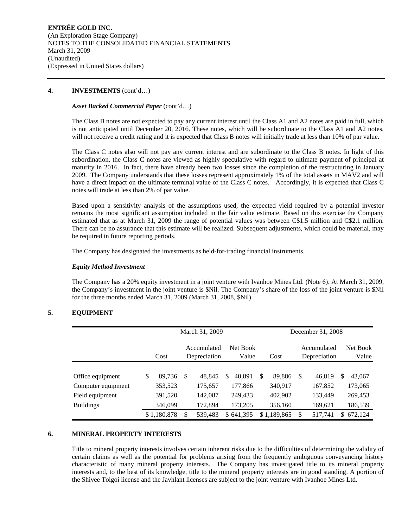## **4. INVESTMENTS** (cont'd…)

## *Asset Backed Commercial Paper* (cont'd…)

The Class B notes are not expected to pay any current interest until the Class A1 and A2 notes are paid in full, which is not anticipated until December 20, 2016. These notes, which will be subordinate to the Class A1 and A2 notes, will not receive a credit rating and it is expected that Class B notes will initially trade at less than 10% of par value.

The Class C notes also will not pay any current interest and are subordinate to the Class B notes. In light of this subordination, the Class C notes are viewed as highly speculative with regard to ultimate payment of principal at maturity in 2016. In fact, there have already been two losses since the completion of the restructuring in January 2009. The Company understands that these losses represent approximately 1% of the total assets in MAV2 and will have a direct impact on the ultimate terminal value of the Class C notes. Accordingly, it is expected that Class C notes will trade at less than 2% of par value.

Based upon a sensitivity analysis of the assumptions used, the expected yield required by a potential investor remains the most significant assumption included in the fair value estimate. Based on this exercise the Company estimated that as at March 31, 2009 the range of potential values was between C\$1.5 million and C\$2.1 million. There can be no assurance that this estimate will be realized. Subsequent adjustments, which could be material, may be required in future reporting periods.

The Company has designated the investments as held-for-trading financial instruments.

## *Equity Method Investment*

The Company has a 20% equity investment in a joint venture with Ivanhoe Mines Ltd. (Note 6). At March 31, 2009, the Company's investment in the joint venture is \$Nil. The Company's share of the loss of the joint venture is \$Nil for the three months ended March 31, 2009 (March 31, 2008, \$Nil).

## **5. EQUIPMENT**

|                    | March 31, 2009 |   |                                                  |   |           |   |             |   | December 31, 2008           |     |                   |
|--------------------|----------------|---|--------------------------------------------------|---|-----------|---|-------------|---|-----------------------------|-----|-------------------|
|                    | Cost           |   | Net Book<br>Accumulated<br>Depreciation<br>Value |   |           |   | Cost        |   | Accumulated<br>Depreciation |     | Net Book<br>Value |
|                    |                |   |                                                  |   |           |   |             |   |                             |     |                   |
| Office equipment   | \$<br>89,736   | S | 48,845                                           | S | 40.891    | S | 89,886      | S | 46,819                      | S   | 43,067            |
| Computer equipment | 353,523        |   | 175,657                                          |   | 177,866   |   | 340,917     |   | 167,852                     |     | 173,065           |
| Field equipment    | 391,520        |   | 142,087                                          |   | 249,433   |   | 402,902     |   | 133,449                     |     | 269,453           |
| <b>Buildings</b>   | 346,099        |   | 172.894                                          |   | 173,205   |   | 356,160     |   | 169,621                     |     | 186,539           |
|                    | \$1,180,878    | S | 539,483                                          |   | \$641,395 |   | \$1,189,865 | S | 517,741                     | \$. | 672,124           |

## **6. MINERAL PROPERTY INTERESTS**

Title to mineral property interests involves certain inherent risks due to the difficulties of determining the validity of certain claims as well as the potential for problems arising from the frequently ambiguous conveyancing history characteristic of many mineral property interests. The Company has investigated title to its mineral property interests and, to the best of its knowledge, title to the mineral property interests are in good standing. A portion of the Shivee Tolgoi license and the Javhlant licenses are subject to the joint venture with Ivanhoe Mines Ltd.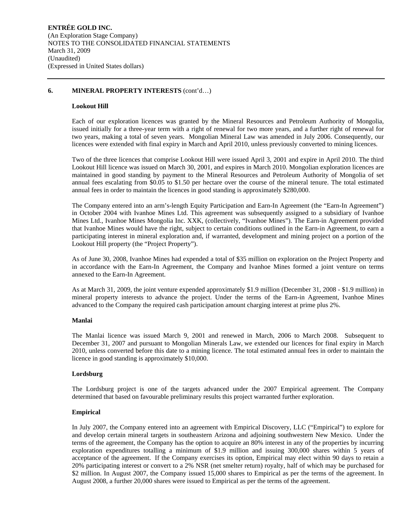## **6. MINERAL PROPERTY INTERESTS** (cont'd…)

#### **Lookout Hill**

Each of our exploration licences was granted by the Mineral Resources and Petroleum Authority of Mongolia, issued initially for a three-year term with a right of renewal for two more years, and a further right of renewal for two years, making a total of seven years. Mongolian Mineral Law was amended in July 2006. Consequently, our licences were extended with final expiry in March and April 2010, unless previously converted to mining licences.

Two of the three licences that comprise Lookout Hill were issued April 3, 2001 and expire in April 2010. The third Lookout Hill licence was issued on March 30, 2001, and expires in March 2010. Mongolian exploration licences are maintained in good standing by payment to the Mineral Resources and Petroleum Authority of Mongolia of set annual fees escalating from \$0.05 to \$1.50 per hectare over the course of the mineral tenure. The total estimated annual fees in order to maintain the licences in good standing is approximately \$280,000.

The Company entered into an arm's-length Equity Participation and Earn-In Agreement (the "Earn-In Agreement") in October 2004 with Ivanhoe Mines Ltd. This agreement was subsequently assigned to a subsidiary of Ivanhoe Mines Ltd., Ivanhoe Mines Mongolia Inc. XXK, (collectively, "Ivanhoe Mines"). The Earn-in Agreement provided that Ivanhoe Mines would have the right, subject to certain conditions outlined in the Earn-in Agreement, to earn a participating interest in mineral exploration and, if warranted, development and mining project on a portion of the Lookout Hill property (the "Project Property").

As of June 30, 2008, Ivanhoe Mines had expended a total of \$35 million on exploration on the Project Property and in accordance with the Earn-In Agreement, the Company and Ivanhoe Mines formed a joint venture on terms annexed to the Earn-In Agreement.

As at March 31, 2009, the joint venture expended approximately \$1.9 million (December 31, 2008 - \$1.9 million) in mineral property interests to advance the project. Under the terms of the Earn-in Agreement, Ivanhoe Mines advanced to the Company the required cash participation amount charging interest at prime plus 2%.

#### **Manlai**

The Manlai licence was issued March 9, 2001 and renewed in March, 2006 to March 2008. Subsequent to December 31, 2007 and pursuant to Mongolian Minerals Law, we extended our licences for final expiry in March 2010, unless converted before this date to a mining licence. The total estimated annual fees in order to maintain the licence in good standing is approximately \$10,000.

#### **Lordsburg**

The Lordsburg project is one of the targets advanced under the 2007 Empirical agreement. The Company determined that based on favourable preliminary results this project warranted further exploration.

## **Empirical**

In July 2007, the Company entered into an agreement with Empirical Discovery, LLC ("Empirical") to explore for and develop certain mineral targets in southeastern Arizona and adjoining southwestern New Mexico. Under the terms of the agreement, the Company has the option to acquire an 80% interest in any of the properties by incurring exploration expenditures totalling a minimum of \$1.9 million and issuing 300,000 shares within 5 years of acceptance of the agreement. If the Company exercises its option, Empirical may elect within 90 days to retain a 20% participating interest or convert to a 2% NSR (net smelter return) royalty, half of which may be purchased for \$2 million. In August 2007, the Company issued 15,000 shares to Empirical as per the terms of the agreement. In August 2008, a further 20,000 shares were issued to Empirical as per the terms of the agreement.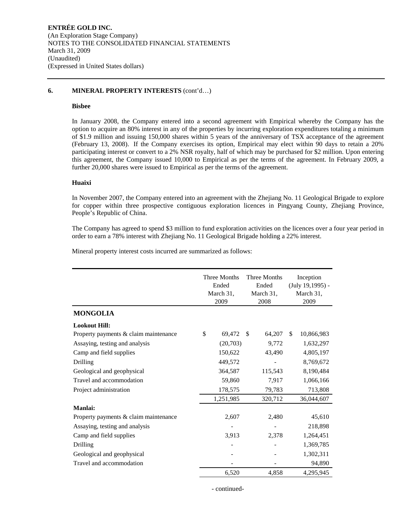## **6. MINERAL PROPERTY INTERESTS** (cont'd…)

## **Bisbee**

In January 2008, the Company entered into a second agreement with Empirical whereby the Company has the option to acquire an 80% interest in any of the properties by incurring exploration expenditures totaling a minimum of \$1.9 million and issuing 150,000 shares within 5 years of the anniversary of TSX acceptance of the agreement (February 13, 2008). If the Company exercises its option, Empirical may elect within 90 days to retain a 20% participating interest or convert to a 2% NSR royalty, half of which may be purchased for \$2 million. Upon entering this agreement, the Company issued 10,000 to Empirical as per the terms of the agreement. In February 2009, a further 20,000 shares were issued to Empirical as per the terms of the agreement.

## **Huaixi**

In November 2007, the Company entered into an agreement with the Zhejiang No. 11 Geological Brigade to explore for copper within three prospective contiguous exploration licences in Pingyang County, Zhejiang Province, People's Republic of China.

The Company has agreed to spend \$3 million to fund exploration activities on the licences over a four year period in order to earn a 78% interest with Zhejiang No. 11 Geological Brigade holding a 22% interest.

Mineral property interest costs incurred are summarized as follows:

|                                       | <b>Three Months</b><br>Ended<br>March 31,<br>2009 | <b>Three Months</b><br>Ended<br>March 31,<br>2008 |         |     | Inception<br>(July 19,1995) -<br>March 31,<br>2009 |
|---------------------------------------|---------------------------------------------------|---------------------------------------------------|---------|-----|----------------------------------------------------|
| <b>MONGOLIA</b>                       |                                                   |                                                   |         |     |                                                    |
| <b>Lookout Hill:</b>                  |                                                   |                                                   |         |     |                                                    |
| Property payments & claim maintenance | \$<br>69,472                                      | <sup>\$</sup>                                     | 64,207  | \$. | 10,866,983                                         |
| Assaying, testing and analysis        | (20,703)                                          |                                                   | 9,772   |     | 1,632,297                                          |
| Camp and field supplies               | 150,622                                           |                                                   | 43,490  |     | 4,805,197                                          |
| Drilling                              | 449,572                                           |                                                   |         |     | 8,769,672                                          |
| Geological and geophysical            | 364,587                                           |                                                   | 115,543 |     | 8,190,484                                          |
| Travel and accommodation              | 59,860                                            |                                                   | 7,917   |     | 1,066,166                                          |
| Project administration                | 178,575                                           | 79,783                                            |         |     | 713,808                                            |
|                                       | 1,251,985                                         |                                                   | 320,712 |     | 36,044,607                                         |
| <b>Manlai:</b>                        |                                                   |                                                   |         |     |                                                    |
| Property payments & claim maintenance | 2,607                                             |                                                   | 2,480   |     | 45,610                                             |
| Assaying, testing and analysis        |                                                   |                                                   |         |     | 218,898                                            |
| Camp and field supplies               | 3,913                                             |                                                   | 2,378   |     | 1,264,451                                          |
| <b>Drilling</b>                       |                                                   |                                                   |         |     | 1,369,785                                          |
| Geological and geophysical            |                                                   |                                                   |         |     | 1,302,311                                          |
| Travel and accommodation              |                                                   |                                                   |         |     | 94,890                                             |
|                                       | 6,520                                             |                                                   | 4,858   |     | 4,295,945                                          |

- continued-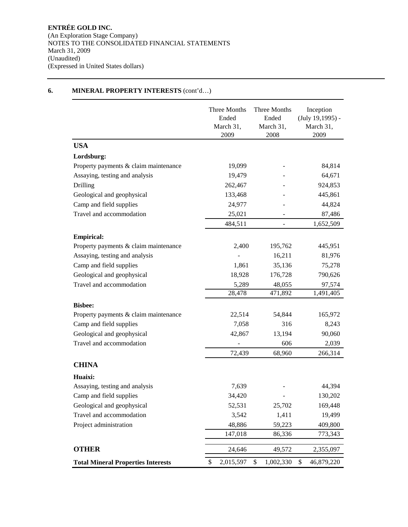## **6. MINERAL PROPERTY INTERESTS** (cont'd…)

|                                           | Three Months<br>Ended<br>March 31,<br>2009 | Three Months<br>Ended<br>March 31,<br>2008 | Inception<br>$(July 19, 1995) -$<br>March 31,<br>2009 |
|-------------------------------------------|--------------------------------------------|--------------------------------------------|-------------------------------------------------------|
| <b>USA</b>                                |                                            |                                            |                                                       |
| Lordsburg:                                |                                            |                                            |                                                       |
| Property payments & claim maintenance     | 19,099                                     |                                            | 84,814                                                |
| Assaying, testing and analysis            | 19,479                                     |                                            | 64,671                                                |
| Drilling                                  | 262,467                                    |                                            | 924,853                                               |
| Geological and geophysical                | 133,468                                    |                                            | 445,861                                               |
| Camp and field supplies                   | 24,977                                     |                                            | 44,824                                                |
| Travel and accommodation                  | 25,021                                     |                                            | 87,486                                                |
|                                           | 484,511                                    |                                            | 1,652,509                                             |
| <b>Empirical:</b>                         |                                            |                                            |                                                       |
| Property payments & claim maintenance     | 2,400                                      | 195,762                                    | 445,951                                               |
| Assaying, testing and analysis            |                                            | 16,211                                     | 81,976                                                |
| Camp and field supplies                   | 1,861                                      | 35,136                                     | 75,278                                                |
| Geological and geophysical                | 18,928                                     | 176,728                                    | 790,626                                               |
| Travel and accommodation                  | 5,289                                      | 48,055                                     | 97,574                                                |
|                                           | 28,478                                     | 471,892                                    | 1,491,405                                             |
| <b>Bisbee:</b>                            |                                            |                                            |                                                       |
| Property payments & claim maintenance     | 22,514                                     | 54,844                                     | 165,972                                               |
| Camp and field supplies                   | 7,058                                      | 316                                        | 8,243                                                 |
| Geological and geophysical                | 42,867                                     | 13,194                                     | 90,060                                                |
| Travel and accommodation                  |                                            | 606                                        | 2,039                                                 |
|                                           | 72,439                                     | 68,960                                     | 266,314                                               |
| <b>CHINA</b>                              |                                            |                                            |                                                       |
| Huaixi:                                   |                                            |                                            |                                                       |
| Assaying, testing and analysis            | 7,639                                      |                                            | 44,394                                                |
| Camp and field supplies                   | 34,420                                     |                                            | 130,202                                               |
| Geological and geophysical                | 52,531                                     | 25,702                                     | 169,448                                               |
| Travel and accommodation                  | 3,542                                      | 1,411                                      | 19,499                                                |
| Project administration                    | 48,886                                     | 59,223                                     | 409,800                                               |
|                                           | 147,018                                    | 86,336                                     | 773,343                                               |
| <b>OTHER</b>                              | 24,646                                     | 49,572                                     | 2,355,097                                             |
| <b>Total Mineral Properties Interests</b> | \$<br>2,015,597                            | \$<br>1,002,330                            | \$<br>46,879,220                                      |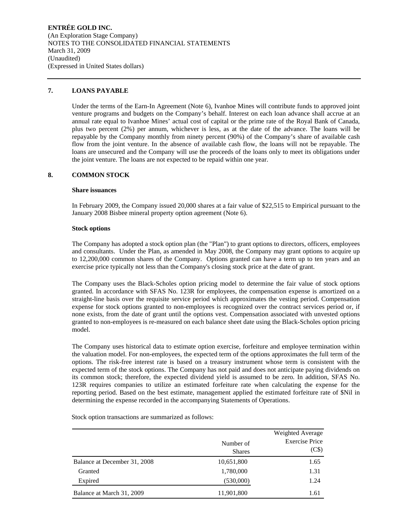**ENTRÉE GOLD INC.**  (An Exploration Stage Company) NOTES TO THE CONSOLIDATED FINANCIAL STATEMENTS March 31, 2009 (Unaudited) (Expressed in United States dollars)

## **7. LOANS PAYABLE**

Under the terms of the Earn-In Agreement (Note 6), Ivanhoe Mines will contribute funds to approved joint venture programs and budgets on the Company's behalf. Interest on each loan advance shall accrue at an annual rate equal to Ivanhoe Mines' actual cost of capital or the prime rate of the Royal Bank of Canada, plus two percent (2%) per annum, whichever is less, as at the date of the advance. The loans will be repayable by the Company monthly from ninety percent (90%) of the Company's share of available cash flow from the joint venture. In the absence of available cash flow, the loans will not be repayable. The loans are unsecured and the Company will use the proceeds of the loans only to meet its obligations under the joint venture. The loans are not expected to be repaid within one year.

## **8. COMMON STOCK**

## **Share issuances**

In February 2009, the Company issued 20,000 shares at a fair value of \$22,515 to Empirical pursuant to the January 2008 Bisbee mineral property option agreement (Note 6).

#### **Stock options**

The Company has adopted a stock option plan (the "Plan") to grant options to directors, officers, employees and consultants. Under the Plan, as amended in May 2008, the Company may grant options to acquire up to 12,200,000 common shares of the Company. Options granted can have a term up to ten years and an exercise price typically not less than the Company's closing stock price at the date of grant.

The Company uses the Black-Scholes option pricing model to determine the fair value of stock options granted. In accordance with SFAS No. 123R for employees, the compensation expense is amortized on a straight-line basis over the requisite service period which approximates the vesting period. Compensation expense for stock options granted to non-employees is recognized over the contract services period or, if none exists, from the date of grant until the options vest. Compensation associated with unvested options granted to non-employees is re-measured on each balance sheet date using the Black-Scholes option pricing model.

The Company uses historical data to estimate option exercise, forfeiture and employee termination within the valuation model. For non-employees, the expected term of the options approximates the full term of the options. The risk-free interest rate is based on a treasury instrument whose term is consistent with the expected term of the stock options. The Company has not paid and does not anticipate paying dividends on its common stock; therefore, the expected dividend yield is assumed to be zero. In addition, SFAS No. 123R requires companies to utilize an estimated forfeiture rate when calculating the expense for the reporting period. Based on the best estimate, management applied the estimated forfeiture rate of \$Nil in determining the expense recorded in the accompanying Statements of Operations.

Number of Shares Weighted Average Exercise Price (C\$) Balance at December 31, 2008 10,651,800 1.65 Granted 1,780,000 1.31 Expired 1.24 Balance at March 31, 2009 11,901,800 11,901,800 1.61

Stock option transactions are summarized as follows: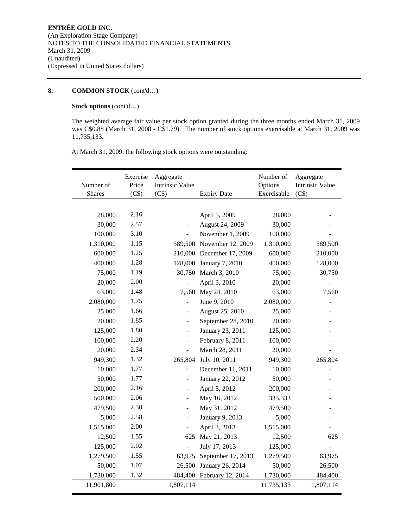## **8. COMMON STOCK** (cont'd…)

## **Stock options** (cont'd…)

The weighted average fair value per stock option granted during the three months ended March 31, 2009 was C\$0.88 (March 31, 2008 - C\$1.79). The number of stock options exercisable at March 31, 2009 was 11,735,133.

At March 31, 2009, the following stock options were outstanding:

| Number of<br><b>Shares</b> | Exercise<br>Price<br>(C\$) | Aggregate<br><b>Intrinsic Value</b><br>(C\$) | <b>Expiry Date</b>        | Number of<br>Options<br>Exercisable | Aggregate<br><b>Intrinsic Value</b><br>(C\$) |
|----------------------------|----------------------------|----------------------------------------------|---------------------------|-------------------------------------|----------------------------------------------|
|                            |                            |                                              |                           |                                     |                                              |
| 28,000                     | 2.16                       |                                              | April 5, 2009             | 28,000                              |                                              |
| 30,000                     | 2.57                       |                                              | August 24, 2009           | 30,000                              |                                              |
| 100,000                    | 3.10                       |                                              | November 1, 2009          | 100,000                             |                                              |
| 1,310,000                  | 1.15                       |                                              | 589,500 November 12, 2009 | 1,310,000                           | 589,500                                      |
| 600,000                    | 1.25                       |                                              | 210,000 December 17, 2009 | 600,000                             | 210,000                                      |
| 400,000                    | 1.28                       | 128,000                                      | <b>January 7, 2010</b>    | 400,000                             | 128,000                                      |
| 75,000                     | 1.19                       |                                              | 30,750 March 3, 2010      | 75,000                              | 30,750                                       |
| 20,000                     | 2.00                       |                                              | April 3, 2010             | 20,000                              |                                              |
| 63,000                     | 1.48                       | 7,560                                        | May 24, 2010              | 63,000                              | 7,560                                        |
| 2,080,000                  | 1.75                       |                                              | June 9, 2010              | 2,080,000                           |                                              |
| 25,000                     | 1.66                       |                                              | August 25, 2010           | 25,000                              |                                              |
| 20,000                     | 1.85                       | $\overline{a}$                               | September 28, 2010        | 20,000                              |                                              |
| 125,000                    | 1.80                       | $\overline{\phantom{a}}$                     | January 23, 2011          | 125,000                             |                                              |
| 100,000                    | 2.20                       | $\overline{a}$                               | February 8, 2011          | 100,000                             |                                              |
| 20,000                     | 2.34                       | $\sim$                                       | March 28, 2011            | 20,000                              |                                              |
| 949,300                    | 1.32                       | 265,804                                      | July 10, 2011             | 949,300                             | 265,804                                      |
| 10,000                     | 1.77                       | $\overline{a}$                               | December 11, 2011         | 10,000                              |                                              |
| 50,000                     | 1.77                       | ÷,                                           | January 22, 2012          | 50,000                              |                                              |
| 200,000                    | 2.16                       |                                              | April 5, 2012             | 200,000                             |                                              |
| 500,000                    | 2.06                       |                                              | May 16, 2012              | 333,333                             |                                              |
| 479,500                    | 2.30                       | $\overline{a}$                               | May 31, 2012              | 479,500                             |                                              |
| 5,000                      | 2.58                       | $\overline{\phantom{a}}$                     | January 9, 2013           | 5,000                               |                                              |
| 1,515,000                  | 2.00                       |                                              | April 3, 2013             | 1,515,000                           |                                              |
| 12,500                     | 1.55                       | 625                                          | May 21, 2013              | 12,500                              | 625                                          |
| 125,000                    | 2.02                       |                                              | July 17, 2013             | 125,000                             |                                              |
| 1,279,500                  | 1.55                       | 63,975                                       | September 17, 2013        | 1,279,500                           | 63,975                                       |
| 50,000                     | 1.07                       | 26,500                                       | January 26, 2014          | 50,000                              | 26,500                                       |
| 1,730,000                  | 1.32                       |                                              | 484,400 February 12, 2014 | 1,730,000                           | 484,400                                      |
| 11,901,800                 |                            | 1,807,114                                    |                           | 11,735,133                          | 1,807,114                                    |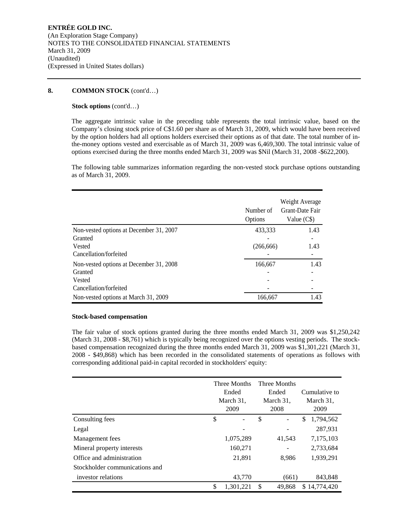## **8. COMMON STOCK** (cont'd…)

### **Stock options** (cont'd…)

The aggregate intrinsic value in the preceding table represents the total intrinsic value, based on the Company's closing stock price of C\$1.60 per share as of March 31, 2009, which would have been received by the option holders had all options holders exercised their options as of that date. The total number of inthe-money options vested and exercisable as of March 31, 2009 was 6,469,300. The total intrinsic value of options exercised during the three months ended March 31, 2009 was \$Nil (March 31, 2008 -\$622,200).

The following table summarizes information regarding the non-vested stock purchase options outstanding as of March 31, 2009.

|                                         | Number of<br>Options | Weight Average<br>Grant-Date Fair<br>Value (C\$) |
|-----------------------------------------|----------------------|--------------------------------------------------|
| Non-vested options at December 31, 2007 | 433,333              | 1.43                                             |
| Granted                                 |                      |                                                  |
| Vested                                  | (266, 666)           | 1.43                                             |
| Cancellation/forfeited                  |                      |                                                  |
| Non-vested options at December 31, 2008 | 166,667              | 1.43                                             |
| Granted                                 |                      |                                                  |
| Vested                                  |                      |                                                  |
| Cancellation/forfeited                  |                      |                                                  |
| Non-vested options at March 31, 2009    | 166,667              | 1.43                                             |

#### **Stock-based compensation**

The fair value of stock options granted during the three months ended March 31, 2009 was \$1,250,242 (March 31, 2008 - \$8,761) which is typically being recognized over the options vesting periods. The stockbased compensation recognized during the three months ended March 31, 2009 was \$1,301,221 (March 31, 2008 - \$49,868) which has been recorded in the consolidated statements of operations as follows with corresponding additional paid-in capital recorded in stockholders' equity:

|                                | Three Months<br>Ended<br>March 31,<br>2009 | Three Months<br>Ended<br>March 31,<br>2008 |                          | Cumulative to<br>March 31,<br>2009 |
|--------------------------------|--------------------------------------------|--------------------------------------------|--------------------------|------------------------------------|
| Consulting fees                | \$<br>۰                                    | \$                                         | $\overline{\phantom{0}}$ | \$<br>1,794,562                    |
| Legal                          |                                            |                                            |                          | 287,931                            |
| Management fees                | 1,075,289                                  |                                            | 41,543                   | 7,175,103                          |
| Mineral property interests     | 160,271                                    |                                            |                          | 2,733,684                          |
| Office and administration      | 21,891                                     |                                            | 8.986                    | 1,939,291                          |
| Stockholder communications and |                                            |                                            |                          |                                    |
| investor relations             | 43,770                                     |                                            | (661)                    | 843,848                            |
|                                | \$<br>1,301,221                            | \$.                                        | 49,868                   | \$14,774,420                       |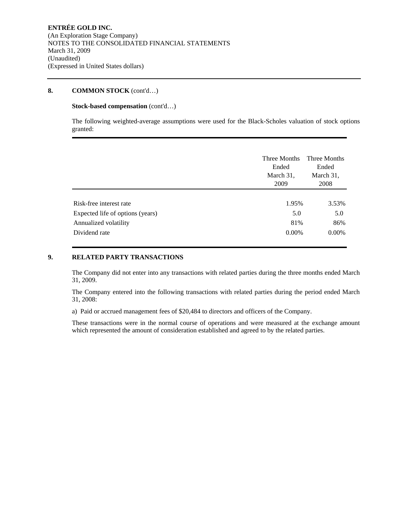## **8. COMMON STOCK** (cont'd…)

## **Stock-based compensation** (cont'd…)

The following weighted-average assumptions were used for the Black-Scholes valuation of stock options granted:

|                                  | Three Months<br>Ended<br>March 31,<br>2009 | Three Months<br>Ended<br>March 31,<br>2008 |
|----------------------------------|--------------------------------------------|--------------------------------------------|
| Risk-free interest rate          | 1.95%                                      | 3.53%                                      |
| Expected life of options (years) | 5.0                                        | 5.0                                        |
| Annualized volatility            | 81%                                        | 86%                                        |
| Dividend rate                    | $0.00\%$                                   | $0.00\%$                                   |

## **9. RELATED PARTY TRANSACTIONS**

The Company did not enter into any transactions with related parties during the three months ended March 31, 2009.

The Company entered into the following transactions with related parties during the period ended March 31, 2008:

a) Paid or accrued management fees of \$20,484 to directors and officers of the Company.

These transactions were in the normal course of operations and were measured at the exchange amount which represented the amount of consideration established and agreed to by the related parties.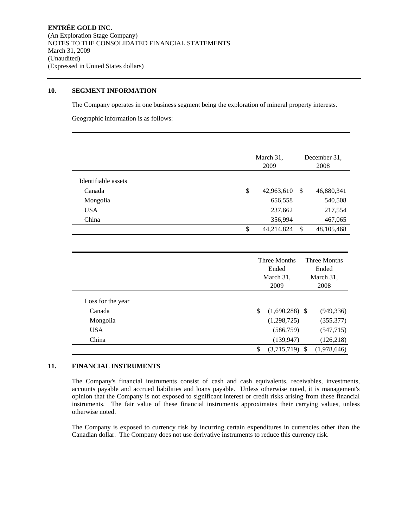## **10. SEGMENT INFORMATION**

The Company operates in one business segment being the exploration of mineral property interests.

Geographic information is as follows:

|                     | March 31,                                  | December 31,                          |  |
|---------------------|--------------------------------------------|---------------------------------------|--|
|                     | 2009                                       | 2008                                  |  |
| Identifiable assets |                                            |                                       |  |
| Canada              | $\mathbb{S}$<br>42,963,610<br>$\mathbb{S}$ | 46,880,341                            |  |
| Mongolia            | 656,558                                    | 540,508                               |  |
| <b>USA</b>          | 237,662                                    | 217,554                               |  |
| China               | 356,994                                    | 467,065                               |  |
|                     | \$<br>44,214,824<br>\$                     | 48,105,468                            |  |
|                     |                                            |                                       |  |
|                     |                                            |                                       |  |
|                     | Ended                                      | Three Months<br>Three Months<br>Ended |  |
|                     | March 31,                                  | March 31,                             |  |
|                     | 2009                                       | 2008                                  |  |
| Loss for the year   |                                            |                                       |  |
| Canada              | \$<br>$(1,690,288)$ \$                     | (949, 336)                            |  |
| Mongolia            | (1,298,725)                                | (355, 377)                            |  |
| <b>USA</b>          | (586, 759)                                 | (547, 715)                            |  |
| China               | (139, 947)                                 | (126, 218)                            |  |
|                     | \$<br>(3,715,719)<br><sup>\$</sup>         | (1,978,646)                           |  |

## **11. FINANCIAL INSTRUMENTS**

The Company's financial instruments consist of cash and cash equivalents, receivables, investments, accounts payable and accrued liabilities and loans payable. Unless otherwise noted, it is management's opinion that the Company is not exposed to significant interest or credit risks arising from these financial instruments. The fair value of these financial instruments approximates their carrying values, unless otherwise noted.

The Company is exposed to currency risk by incurring certain expenditures in currencies other than the Canadian dollar. The Company does not use derivative instruments to reduce this currency risk.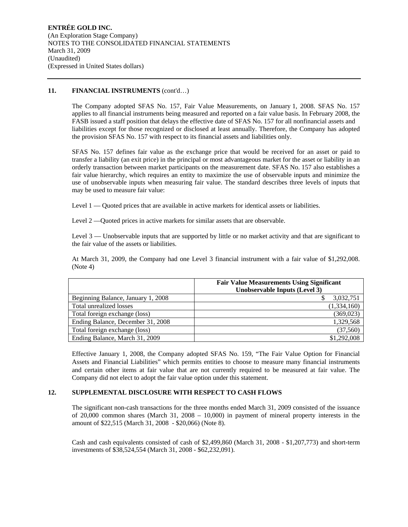## 11. **FINANCIAL INSTRUMENTS** (cont'd...)

The Company adopted SFAS No. 157, Fair Value Measurements, on January 1, 2008. SFAS No. 157 applies to all financial instruments being measured and reported on a fair value basis. In February 2008, the FASB issued a staff position that delays the effective date of SFAS No. 157 for all nonfinancial assets and liabilities except for those recognized or disclosed at least annually. Therefore, the Company has adopted the provision SFAS No. 157 with respect to its financial assets and liabilities only.

SFAS No. 157 defines fair value as the exchange price that would be received for an asset or paid to transfer a liability (an exit price) in the principal or most advantageous market for the asset or liability in an orderly transaction between market participants on the measurement date. SFAS No. 157 also establishes a fair value hierarchy, which requires an entity to maximize the use of observable inputs and minimize the use of unobservable inputs when measuring fair value. The standard describes three levels of inputs that may be used to measure fair value:

Level 1 — Quoted prices that are available in active markets for identical assets or liabilities.

Level 2 —Quoted prices in active markets for similar assets that are observable.

Level 3 — Unobservable inputs that are supported by little or no market activity and that are significant to the fair value of the assets or liabilities.

At March 31, 2009, the Company had one Level 3 financial instrument with a fair value of \$1,292,008. (Note 4)

|                                    | <b>Fair Value Measurements Using Significant</b><br>Unobservable Inputs (Level 3) |  |
|------------------------------------|-----------------------------------------------------------------------------------|--|
| Beginning Balance, January 1, 2008 | 3,032,751                                                                         |  |
| Total unrealized losses            | (1,334,160)                                                                       |  |
| Total foreign exchange (loss)      | (369, 023)                                                                        |  |
| Ending Balance, December 31, 2008  | 1,329,568                                                                         |  |
| Total foreign exchange (loss)      | (37,560)                                                                          |  |
| Ending Balance, March 31, 2009     | \$1,292,008                                                                       |  |

Effective January 1, 2008, the Company adopted SFAS No. 159, "The Fair Value Option for Financial Assets and Financial Liabilities" which permits entities to choose to measure many financial instruments and certain other items at fair value that are not currently required to be measured at fair value. The Company did not elect to adopt the fair value option under this statement.

## **12. SUPPLEMENTAL DISCLOSURE WITH RESPECT TO CASH FLOWS**

The significant non-cash transactions for the three months ended March 31, 2009 consisted of the issuance of 20,000 common shares (March 31, 2008 – 10,000) in payment of mineral property interests in the amount of \$22,515 (March 31, 2008 - \$20,066) (Note 8).

Cash and cash equivalents consisted of cash of \$2,499,860 (March 31, 2008 - \$1,207,773) and short-term investments of \$38,524,554 (March 31, 2008 - \$62,232,091).